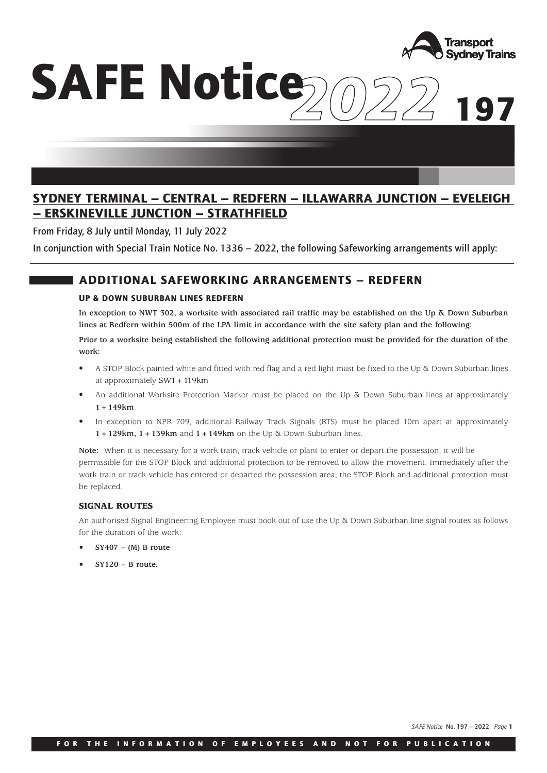

**197**

# *2022* **SAFE Notice**

# **SYDNEY TERMINAL – CENTRAL – REDFERN – ILLAWARRA JUNCTION – EVELEIGH – ERSKINEVILLE JUNCTION – STRATHFIELD**

From Friday, 8 July until Monday, 11 July 2022

In conjunction with Special Train Notice No. 1336 – 2022, the following Safeworking arrangements will apply:

## **ADDITIONAL SAFEWORKING ARRANGEMENTS – REDFERN**

### **UP & DOWN SUBURBAN LINES REDFERN**

**In exception to NWT 302, a worksite with associated rail traffic may be established on the Up & Down Suburban lines at Redfern within 500m of the LPA limit in accordance with the site safety plan and the following:**

**Prior to a worksite being established the following additional protection must be provided for the duration of the work:**

- A STOP Block painted white and fitted with red flag and a red light must be fixed to the Up & Down Suburban lines at approximately SW1+119km
- An additional Worksite Protection Marker must be placed on the Up  $\&$  Down Suburban lines at approximately **1+149km**
- In exception to NPR 709, additional Railway Track Signals (RTS) must be placed 10m apart at approximately **1+129km, 1+139km** and **1+149km** on the Up & Down Suburban lines.

**Note:** When it is necessary for a work train, track vehicle or plant to enter or depart the possession, it will be permissible for the STOP Block and additional protection to be removed to allow the movement. Immediately after the work train or track vehicle has entered or departed the possession area, the STOP Block and additional protection must be replaced.

### **SIGNAL ROUTES**

An authorised Signal Engineering Employee must book out of use the Up & Down Suburban line signal routes as follows for the duration of the work:

- **SY407 (M) B route**
- **SY120 B route.**

*SAFE Notice* No. 197 – 2022 *Page* **<sup>1</sup>**